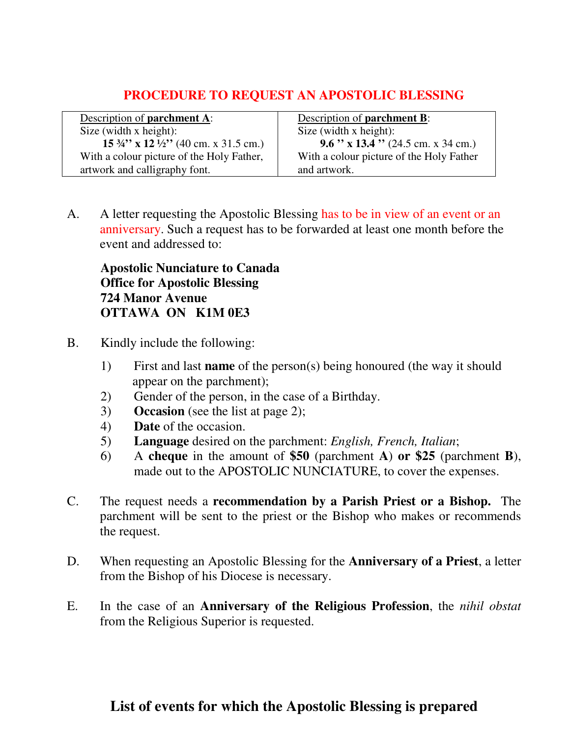## **PROCEDURE TO REQUEST AN APOSTOLIC BLESSING**

| Description of <b>parchment</b> A:                          | Description of <b>parchment B</b> :      |
|-------------------------------------------------------------|------------------------------------------|
| Size (width $x$ height):                                    | Size (width x height):                   |
| 15 $\frac{3}{4}$ " x 12 $\frac{1}{2}$ " (40 cm. x 31.5 cm.) | 9.6 " x 13.4 " (24.5 cm. x 34 cm.)       |
| With a colour picture of the Holy Father,                   | With a colour picture of the Holy Father |
| artwork and calligraphy font.                               | and artwork.                             |

A. A letter requesting the Apostolic Blessing has to be in view of an event or an anniversary. Such a request has to be forwarded at least one month before the event and addressed to:

**Apostolic Nunciature to Canada Office for Apostolic Blessing 724 Manor Avenue OTTAWA ON K1M 0E3**

- B. Kindly include the following:
	- 1) First and last **name** of the person(s) being honoured (the way it should appear on the parchment);
	- 2) Gender of the person, in the case of a Birthday.
	- 3) **Occasion** (see the list at page 2);
	- 4) **Date** of the occasion.
	- 5) **Language** desired on the parchment: *English, French, Italian*;
	- 6) A **cheque** in the amount of **\$50** (parchment **A**) **or \$25** (parchment **B**), made out to the APOSTOLIC NUNCIATURE, to cover the expenses.
- C. The request needs a **recommendation by a Parish Priest or a Bishop.** The parchment will be sent to the priest or the Bishop who makes or recommends the request.
- D. When requesting an Apostolic Blessing for the **Anniversary of a Priest**, a letter from the Bishop of his Diocese is necessary.
- E. In the case of an **Anniversary of the Religious Profession**, the *nihil obstat* from the Religious Superior is requested.

## **List of events for which the Apostolic Blessing is prepared**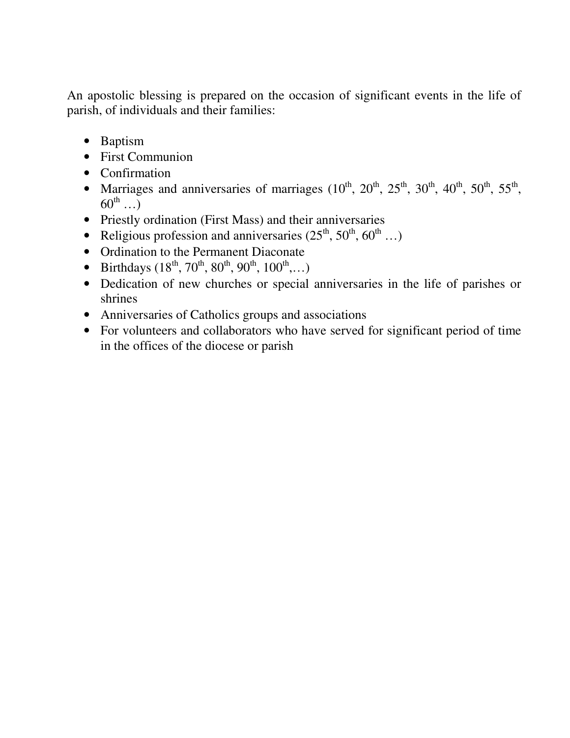An apostolic blessing is prepared on the occasion of significant events in the life of parish, of individuals and their families:

- Baptism
- First Communion
- Confirmation
- Marriages and anniversaries of marriages  $(10^{th}, 20^{th}, 25^{th}, 30^{th}, 40^{th}, 50^{th}, 55^{th},$  $60^{\text{th}}$  ...
- Priestly ordination (First Mass) and their anniversaries
- Religious profession and anniversaries  $(25<sup>th</sup>, 50<sup>th</sup>, 60<sup>th</sup> ...)$
- Ordination to the Permanent Diaconate
- Birthdays  $(18^{th}, 70^{th}, 80^{th}, 90^{th}, 100^{th}, \ldots)$
- Dedication of new churches or special anniversaries in the life of parishes or shrines
- Anniversaries of Catholics groups and associations
- For volunteers and collaborators who have served for significant period of time in the offices of the diocese or parish